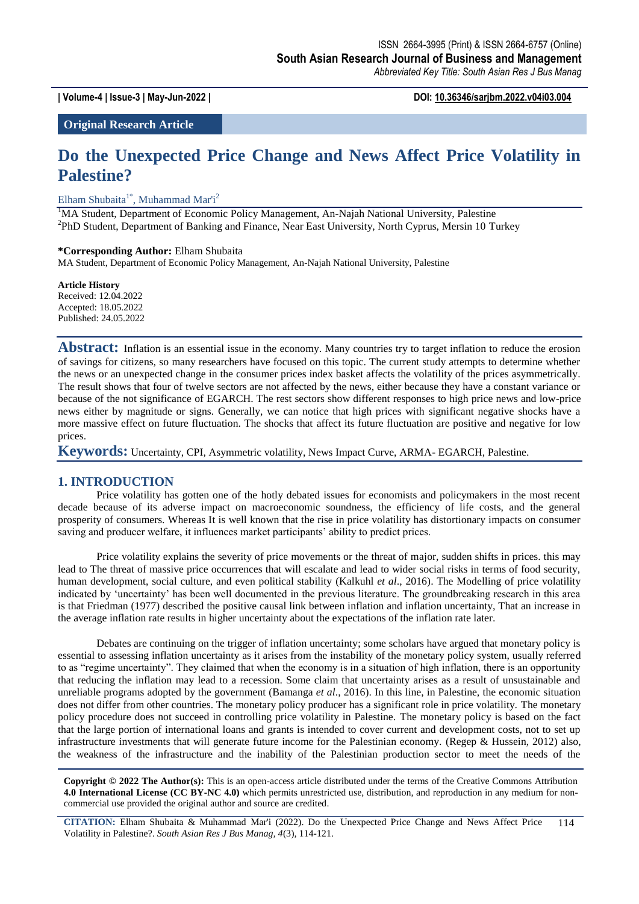**| Volume-4 | Issue-3 | May-Jun-2022 | DOI: 10.36346/sarjbm.2022.v04i03.004**

**Original Research Article**

# **Do the Unexpected Price Change and News Affect Price Volatility in Palestine?**

Elham Shubaita<sup>1\*</sup>, Muhammad Mar'i<sup>2</sup>

<sup>1</sup>MA Student, Department of Economic Policy Management, An-Najah National University, Palestine <sup>2</sup>PhD Student, Department of Banking and Finance, Near East University, North Cyprus, Mersin 10 Turkey

**\*Corresponding Author:** Elham Shubaita

MA Student, Department of Economic Policy Management, An-Najah National University, Palestine

**Article History** Received: 12.04.2022 Accepted: 18.05.2022 Published: 24.05.2022

Abstract: Inflation is an essential issue in the economy. Many countries try to target inflation to reduce the erosion of savings for citizens, so many researchers have focused on this topic. The current study attempts to determine whether the news or an unexpected change in the consumer prices index basket affects the volatility of the prices asymmetrically. The result shows that four of twelve sectors are not affected by the news, either because they have a constant variance or because of the not significance of EGARCH. The rest sectors show different responses to high price news and low-price news either by magnitude or signs. Generally, we can notice that high prices with significant negative shocks have a more massive effect on future fluctuation. The shocks that affect its future fluctuation are positive and negative for low prices.

**Keywords:** Uncertainty, CPI, Asymmetric volatility, News Impact Curve, ARMA- EGARCH, Palestine.

## **1. INTRODUCTION**

Price volatility has gotten one of the hotly debated issues for economists and policymakers in the most recent decade because of its adverse impact on macroeconomic soundness, the efficiency of life costs, and the general prosperity of consumers. Whereas It is well known that the rise in price volatility has distortionary impacts on consumer saving and producer welfare, it influences market participants' ability to predict prices.

Price volatility explains the severity of price movements or the threat of major, sudden shifts in prices. this may lead to The threat of massive price occurrences that will escalate and lead to wider social risks in terms of food security, human development, social culture, and even political stability (Kalkuhl *et al*., 2016). The Modelling of price volatility indicated by "uncertainty" has been well documented in the previous literature. The groundbreaking research in this area is that Friedman (1977) described the positive causal link between inflation and inflation uncertainty, That an increase in the average inflation rate results in higher uncertainty about the expectations of the inflation rate later.

Debates are continuing on the trigger of inflation uncertainty; some scholars have argued that monetary policy is essential to assessing inflation uncertainty as it arises from the instability of the monetary policy system, usually referred to as "regime uncertainty". They claimed that when the economy is in a situation of high inflation, there is an opportunity that reducing the inflation may lead to a recession. Some claim that uncertainty arises as a result of unsustainable and unreliable programs adopted by the government (Bamanga *et al*., 2016). In this line, in Palestine, the economic situation does not differ from other countries. The monetary policy producer has a significant role in price volatility. The monetary policy procedure does not succeed in controlling price volatility in Palestine. The monetary policy is based on the fact that the large portion of international loans and grants is intended to cover current and development costs, not to set up infrastructure investments that will generate future income for the Palestinian economy. (Regep & Hussein, 2012) also, the weakness of the infrastructure and the inability of the Palestinian production sector to meet the needs of the

**Copyright © 2022 The Author(s):** This is an open-access article distributed under the terms of the Creative Commons Attribution **4.0 International License (CC BY-NC 4.0)** which permits unrestricted use, distribution, and reproduction in any medium for noncommercial use provided the original author and source are credited.

**CITATION:** Elham Shubaita & Muhammad Mar'i (2022). Do the Unexpected Price Change and News Affect Price Volatility in Palestine?. *South Asian Res J Bus Manag, 4*(3), 114-121. 114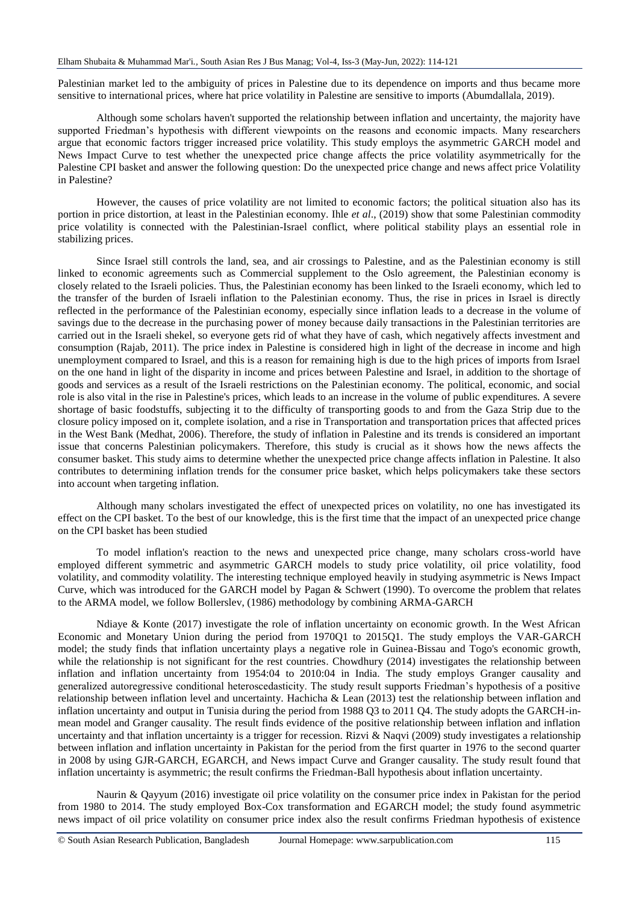Palestinian market led to the ambiguity of prices in Palestine due to its dependence on imports and thus became more sensitive to international prices, where hat price volatility in Palestine are sensitive to imports (Abumdallala, 2019).

Although some scholars haven't supported the relationship between inflation and uncertainty, the majority have supported Friedman"s hypothesis with different viewpoints on the reasons and economic impacts. Many researchers argue that economic factors trigger increased price volatility. This study employs the asymmetric GARCH model and News Impact Curve to test whether the unexpected price change affects the price volatility asymmetrically for the Palestine CPI basket and answer the following question: Do the unexpected price change and news affect price Volatility in Palestine?

However, the causes of price volatility are not limited to economic factors; the political situation also has its portion in price distortion, at least in the Palestinian economy. Ihle *et al*., (2019) show that some Palestinian commodity price volatility is connected with the Palestinian-Israel conflict, where political stability plays an essential role in stabilizing prices.

Since Israel still controls the land, sea, and air crossings to Palestine, and as the Palestinian economy is still linked to economic agreements such as Commercial supplement to the Oslo agreement, the Palestinian economy is closely related to the Israeli policies. Thus, the Palestinian economy has been linked to the Israeli economy, which led to the transfer of the burden of Israeli inflation to the Palestinian economy. Thus, the rise in prices in Israel is directly reflected in the performance of the Palestinian economy, especially since inflation leads to a decrease in the volume of savings due to the decrease in the purchasing power of money because daily transactions in the Palestinian territories are carried out in the Israeli shekel, so everyone gets rid of what they have of cash, which negatively affects investment and consumption (Rajab, 2011). The price index in Palestine is considered high in light of the decrease in income and high unemployment compared to Israel, and this is a reason for remaining high is due to the high prices of imports from Israel on the one hand in light of the disparity in income and prices between Palestine and Israel, in addition to the shortage of goods and services as a result of the Israeli restrictions on the Palestinian economy. The political, economic, and social role is also vital in the rise in Palestine's prices, which leads to an increase in the volume of public expenditures. A severe shortage of basic foodstuffs, subjecting it to the difficulty of transporting goods to and from the Gaza Strip due to the closure policy imposed on it, complete isolation, and a rise in Transportation and transportation prices that affected prices in the West Bank (Medhat, 2006). Therefore, the study of inflation in Palestine and its trends is considered an important issue that concerns Palestinian policymakers. Therefore, this study is crucial as it shows how the news affects the consumer basket. This study aims to determine whether the unexpected price change affects inflation in Palestine. It also contributes to determining inflation trends for the consumer price basket, which helps policymakers take these sectors into account when targeting inflation.

Although many scholars investigated the effect of unexpected prices on volatility, no one has investigated its effect on the CPI basket. To the best of our knowledge, this is the first time that the impact of an unexpected price change on the CPI basket has been studied

To model inflation's reaction to the news and unexpected price change, many scholars cross-world have employed different symmetric and asymmetric GARCH models to study price volatility, oil price volatility, food volatility, and commodity volatility. The interesting technique employed heavily in studying asymmetric is News Impact Curve, which was introduced for the GARCH model by Pagan & Schwert (1990). To overcome the problem that relates to the ARMA model, we follow Bollerslev, (1986) methodology by combining ARMA-GARCH

Ndiaye & Konte (2017) investigate the role of inflation uncertainty on economic growth. In the West African Economic and Monetary Union during the period from 1970Q1 to 2015Q1. The study employs the VAR-GARCH model; the study finds that inflation uncertainty plays a negative role in Guinea-Bissau and Togo's economic growth, while the relationship is not significant for the rest countries. Chowdhury (2014) investigates the relationship between inflation and inflation uncertainty from 1954:04 to 2010:04 in India. The study employs Granger causality and generalized autoregressive conditional heteroscedasticity. The study result supports Friedman"s hypothesis of a positive relationship between inflation level and uncertainty. Hachicha & Lean (2013) test the relationship between inflation and inflation uncertainty and output in Tunisia during the period from 1988 Q3 to 2011 Q4. The study adopts the GARCH-inmean model and Granger causality. The result finds evidence of the positive relationship between inflation and inflation uncertainty and that inflation uncertainty is a trigger for recession. Rizvi & Naqvi (2009) study investigates a relationship between inflation and inflation uncertainty in Pakistan for the period from the first quarter in 1976 to the second quarter in 2008 by using GJR-GARCH, EGARCH, and News impact Curve and Granger causality. The study result found that inflation uncertainty is asymmetric; the result confirms the Friedman-Ball hypothesis about inflation uncertainty.

Naurin & Qayyum (2016) investigate oil price volatility on the consumer price index in Pakistan for the period from 1980 to 2014. The study employed Box-Cox transformation and EGARCH model; the study found asymmetric news impact of oil price volatility on consumer price index also the result confirms Friedman hypothesis of existence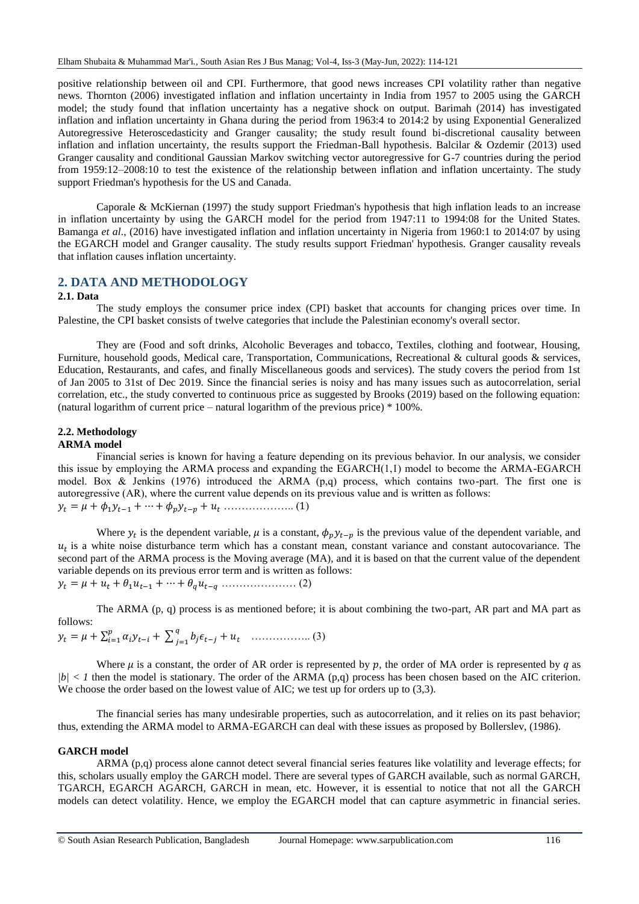positive relationship between oil and CPI. Furthermore, that good news increases CPI volatility rather than negative news. Thornton (2006) investigated inflation and inflation uncertainty in India from 1957 to 2005 using the GARCH model; the study found that inflation uncertainty has a negative shock on output. Barimah (2014) has investigated inflation and inflation uncertainty in Ghana during the period from 1963:4 to 2014:2 by using Exponential Generalized Autoregressive Heteroscedasticity and Granger causality; the study result found bi-discretional causality between inflation and inflation uncertainty, the results support the Friedman-Ball hypothesis. Balcilar & Ozdemir (2013) used Granger causality and conditional Gaussian Markov switching vector autoregressive for G-7 countries during the period from 1959:12–2008:10 to test the existence of the relationship between inflation and inflation uncertainty. The study support Friedman's hypothesis for the US and Canada.

Caporale & McKiernan (1997) the study support Friedman's hypothesis that high inflation leads to an increase in inflation uncertainty by using the GARCH model for the period from 1947:11 to 1994:08 for the United States. Bamanga *et al*., (2016) have investigated inflation and inflation uncertainty in Nigeria from 1960:1 to 2014:07 by using the EGARCH model and Granger causality. The study results support Friedman' hypothesis. Granger causality reveals that inflation causes inflation uncertainty.

# **2. DATA AND METHODOLOGY**

#### **2.1. Data**

The study employs the consumer price index (CPI) basket that accounts for changing prices over time. In Palestine, the CPI basket consists of twelve categories that include the Palestinian economy's overall sector.

They are (Food and soft drinks, Alcoholic Beverages and tobacco, Textiles, clothing and footwear, Housing, Furniture, household goods, Medical care, Transportation, Communications, Recreational & cultural goods & services, Education, Restaurants, and cafes, and finally Miscellaneous goods and services). The study covers the period from 1st of Jan 2005 to 31st of Dec 2019. Since the financial series is noisy and has many issues such as autocorrelation, serial correlation, etc., the study converted to continuous price as suggested by Brooks (2019) based on the following equation: (natural logarithm of current price – natural logarithm of the previous price) \* 100%.

#### **2.2. Methodology ARMA model**

Financial series is known for having a feature depending on its previous behavior. In our analysis, we consider this issue by employing the ARMA process and expanding the  $EGARCH(1,1)$  model to become the ARMA-EGARCH model. Box & Jenkins (1976) introduced the ARMA (p,q) process, which contains two-part. The first one is autoregressive (AR), where the current value depends on its previous value and is written as follows: = + 1−1 + ⋯ + − + ……………….. (1)

Where  $y_t$  is the dependent variable,  $\mu$  is a constant,  $\phi_p y_{t-p}$  is the previous value of the dependent variable, and  $u_t$  is a white noise disturbance term which has a constant mean, constant variance and constant autocovariance. The second part of the ARMA process is the Moving average (MA), and it is based on that the current value of the dependent variable depends on its previous error term and is written as follows: = + +1−1 + ⋯ + − ………………… (2)

The ARMA (p, q) process is as mentioned before; it is about combining the two-part, AR part and MA part as follows:  $\overline{q}$ 

 = + ∑ − =1 + ∑ − =1 + …………….. (3)

Where  $\mu$  is a constant, the order of AR order is represented by  $p$ , the order of MA order is represented by q as  $|b| < 1$  then the model is stationary. The order of the ARMA (p,q) process has been chosen based on the AIC criterion. We choose the order based on the lowest value of AIC; we test up for orders up to (3,3).

The financial series has many undesirable properties, such as autocorrelation, and it relies on its past behavior; thus, extending the ARMA model to ARMA-EGARCH can deal with these issues as proposed by Bollerslev, (1986).

#### **GARCH model**

ARMA (p,q) process alone cannot detect several financial series features like volatility and leverage effects; for this, scholars usually employ the GARCH model. There are several types of GARCH available, such as normal GARCH, TGARCH, EGARCH AGARCH, GARCH in mean, etc. However, it is essential to notice that not all the GARCH models can detect volatility. Hence, we employ the EGARCH model that can capture asymmetric in financial series.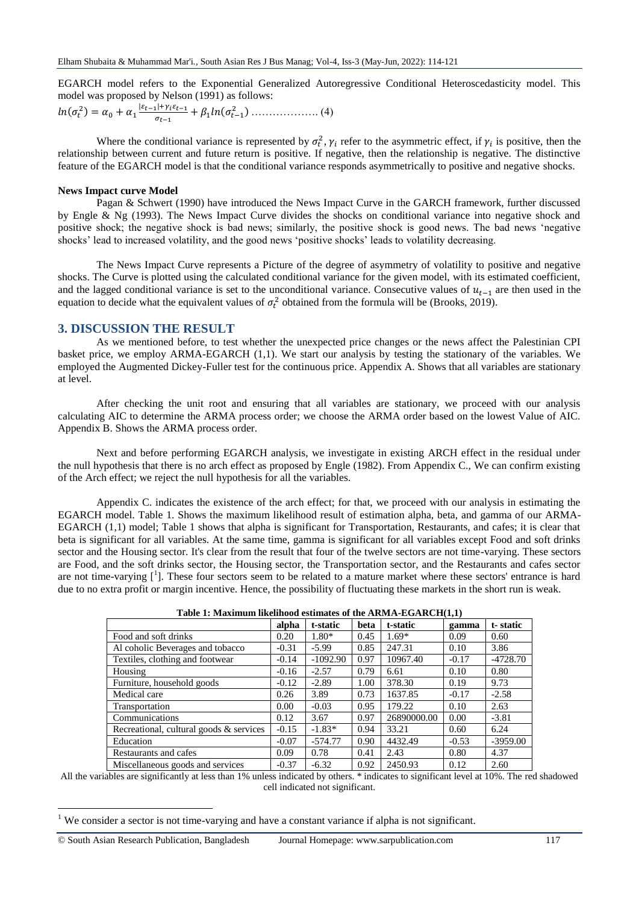EGARCH model refers to the Exponential Generalized Autoregressive Conditional Heteroscedasticity model. This model was proposed by Nelson (1991) as follows:

$$
ln(\sigma_t^2) = \alpha_0 + \alpha_1 \frac{|\varepsilon_{t-1}| + \gamma_i \varepsilon_{t-1}}{\sigma_{t-1}} + \beta_1 ln(\sigma_{t-1}^2) \dots \dots \dots \dots \dots \dots (4)
$$

Where the conditional variance is represented by  $\sigma_t^2$ ,  $\gamma_i$  refer to the asymmetric effect, if  $\gamma_i$  is positive, then the relationship between current and future return is positive. If negative, then the relationship is negative. The distinctive feature of the EGARCH model is that the conditional variance responds asymmetrically to positive and negative shocks.

#### **News Impact curve Model**

**.** 

Pagan & Schwert (1990) have introduced the News Impact Curve in the GARCH framework, further discussed by Engle & Ng (1993). The News Impact Curve divides the shocks on conditional variance into negative shock and positive shock; the negative shock is bad news; similarly, the positive shock is good news. The bad news "negative shocks" lead to increased volatility, and the good news "positive shocks" leads to volatility decreasing.

The News Impact Curve represents a Picture of the degree of asymmetry of volatility to positive and negative shocks. The Curve is plotted using the calculated conditional variance for the given model, with its estimated coefficient, and the lagged conditional variance is set to the unconditional variance. Consecutive values of  $u_{t-1}$  are then used in the equation to decide what the equivalent values of  $\sigma_t^2$  obtained from the formula will be (Brooks, 2019).

### **3. DISCUSSION THE RESULT**

As we mentioned before, to test whether the unexpected price changes or the news affect the Palestinian CPI basket price, we employ ARMA-EGARCH (1,1). We start our analysis by testing the stationary of the variables. We employed the Augmented Dickey-Fuller test for the continuous price. Appendix A. Shows that all variables are stationary at level.

After checking the unit root and ensuring that all variables are stationary, we proceed with our analysis calculating AIC to determine the ARMA process order; we choose the ARMA order based on the lowest Value of AIC. Appendix B. Shows the ARMA process order.

Next and before performing EGARCH analysis, we investigate in existing ARCH effect in the residual under the null hypothesis that there is no arch effect as proposed by Engle (1982). From Appendix C., We can confirm existing of the Arch effect; we reject the null hypothesis for all the variables.

Appendix C. indicates the existence of the arch effect; for that, we proceed with our analysis in estimating the EGARCH model. Table 1. Shows the maximum likelihood result of estimation alpha, beta, and gamma of our ARMA-EGARCH (1,1) model; Table 1 shows that alpha is significant for Transportation, Restaurants, and cafes; it is clear that beta is significant for all variables. At the same time, gamma is significant for all variables except Food and soft drinks sector and the Housing sector. It's clear from the result that four of the twelve sectors are not time-varying. These sectors are Food, and the soft drinks sector, the Housing sector, the Transportation sector, and the Restaurants and cafes sector are not time-varying  $[1]$ . These four sectors seem to be related to a mature market where these sectors' entrance is hard due to no extra profit or margin incentive. Hence, the possibility of fluctuating these markets in the short run is weak.

| Table 1: Maximum intentiou estimates of the ARMA-EGARCII(1,1) |         |            |      |             |         |            |
|---------------------------------------------------------------|---------|------------|------|-------------|---------|------------|
|                                                               | alpha   | t-static   | beta | t-static    | gamma   | t-static   |
| Food and soft drinks                                          | 0.20    | $1.80*$    | 0.45 | $1.69*$     | 0.09    | 0.60       |
| Al coholic Beverages and tobacco                              | $-0.31$ | $-5.99$    | 0.85 | 247.31      | 0.10    | 3.86       |
| Textiles, clothing and footwear                               | $-0.14$ | $-1092.90$ | 0.97 | 10967.40    | $-0.17$ | $-4728.70$ |
| Housing                                                       | $-0.16$ | $-2.57$    | 0.79 | 6.61        | 0.10    | 0.80       |
| Furniture, household goods                                    | $-0.12$ | $-2.89$    | 1.00 | 378.30      | 0.19    | 9.73       |
| Medical care                                                  | 0.26    | 3.89       | 0.73 | 1637.85     | $-0.17$ | $-2.58$    |
| Transportation                                                | 0.00    | $-0.03$    | 0.95 | 179.22      | 0.10    | 2.63       |
| Communications                                                | 0.12    | 3.67       | 0.97 | 26890000.00 | 0.00    | $-3.81$    |
| Recreational, cultural goods & services                       | $-0.15$ | $-1.83*$   | 0.94 | 33.21       | 0.60    | 6.24       |
| Education                                                     | $-0.07$ | $-574.77$  | 0.90 | 4432.49     | $-0.53$ | $-3959.00$ |
| Restaurants and cafes                                         | 0.09    | 0.78       | 0.41 | 2.43        | 0.80    | 4.37       |
| Miscellaneous goods and services                              | $-0.37$ | $-6.32$    | 0.92 | 2450.93     | 0.12    | 2.60       |

| Table 1: Maximum likelihood estimates of the ARMA-EGARCH(1,1) |  |  |  |
|---------------------------------------------------------------|--|--|--|
|                                                               |  |  |  |

All the variables are significantly at less than 1% unless indicated by others. \* indicates to significant level at 10%. The red shadowed cell indicated not significant.

 $1$  We consider a sector is not time-varying and have a constant variance if alpha is not significant.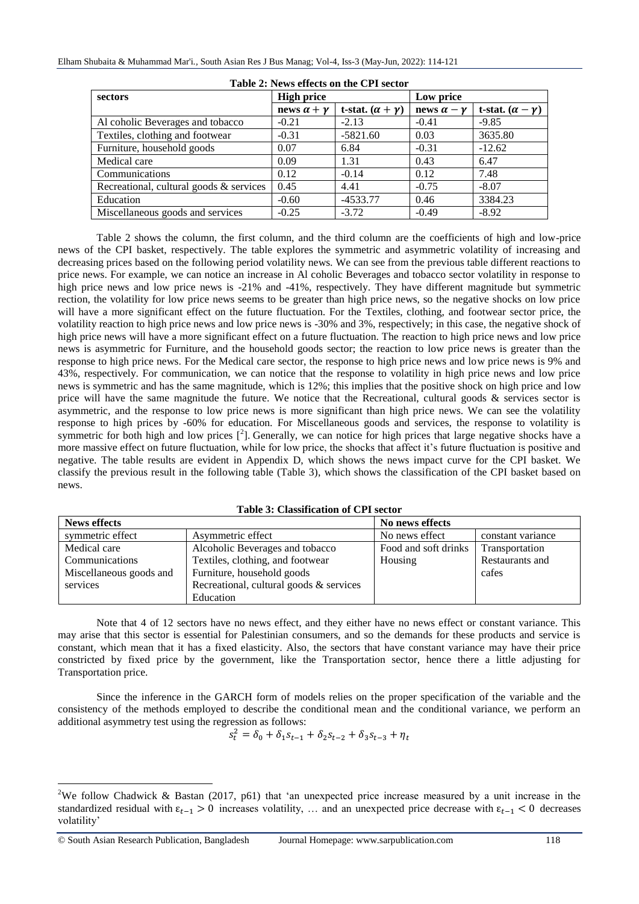| <b>Table 2: News effects on the CFT sector</b> |                        |                             |                        |                             |  |  |  |
|------------------------------------------------|------------------------|-----------------------------|------------------------|-----------------------------|--|--|--|
| sectors                                        | <b>High price</b>      |                             | Low price              |                             |  |  |  |
|                                                | news $\alpha + \gamma$ | t-stat. $(\alpha + \gamma)$ | news $\alpha - \gamma$ | t-stat. $(\alpha - \gamma)$ |  |  |  |
| Al coholic Beverages and tobacco               | $-0.21$                | $-2.13$                     | $-0.41$                | $-9.85$                     |  |  |  |
| Textiles, clothing and footwear                | $-0.31$                | $-5821.60$                  | 0.03                   | 3635.80                     |  |  |  |
| Furniture, household goods                     | 0.07                   | 6.84                        | $-0.31$                | $-12.62$                    |  |  |  |
| Medical care                                   | 0.09                   | 1.31                        | 0.43                   | 6.47                        |  |  |  |
| Communications                                 | 0.12                   | $-0.14$                     | 0.12                   | 7.48                        |  |  |  |
| Recreational, cultural goods & services        | 0.45                   | 4.41                        | $-0.75$                | $-8.07$                     |  |  |  |
| Education                                      | $-0.60$                | $-4533.77$                  | 0.46                   | 3384.23                     |  |  |  |
| Miscellaneous goods and services               | $-0.25$                | $-3.72$                     | $-0.49$                | $-8.92$                     |  |  |  |

Table 2 shows the column, the first column, and the third column are the coefficients of high and low-price news of the CPI basket, respectively. The table explores the symmetric and asymmetric volatility of increasing and decreasing prices based on the following period volatility news. We can see from the previous table different reactions to price news. For example, we can notice an increase in Al coholic Beverages and tobacco sector volatility in response to high price news and low price news is -21% and -41%, respectively. They have different magnitude but symmetric rection, the volatility for low price news seems to be greater than high price news, so the negative shocks on low price will have a more significant effect on the future fluctuation. For the Textiles, clothing, and footwear sector price, the volatility reaction to high price news and low price news is -30% and 3%, respectively; in this case, the negative shock of high price news will have a more significant effect on a future fluctuation. The reaction to high price news and low price news is asymmetric for Furniture, and the household goods sector; the reaction to low price news is greater than the response to high price news. For the Medical care sector, the response to high price news and low price news is 9% and 43%, respectively. For communication, we can notice that the response to volatility in high price news and low price news is symmetric and has the same magnitude, which is 12%; this implies that the positive shock on high price and low price will have the same magnitude the future. We notice that the Recreational, cultural goods & services sector is asymmetric, and the response to low price news is more significant than high price news. We can see the volatility response to high prices by -60% for education. For Miscellaneous goods and services, the response to volatility is symmetric for both high and low prices  $\left[\begin{array}{c}2\end{array}\right]$ . Generally, we can notice for high prices that large negative shocks have a more massive effect on future fluctuation, while for low price, the shocks that affect it's future fluctuation is positive and negative. The table results are evident in Appendix D, which shows the news impact curve for the CPI basket. We classify the previous result in the following table (Table 3), which shows the classification of the CPI basket based on news.

|  | Table 3: Classification of CPI sector |  |
|--|---------------------------------------|--|
|--|---------------------------------------|--|

| <b>News effects</b>     |                                         | No news effects      |                   |
|-------------------------|-----------------------------------------|----------------------|-------------------|
| symmetric effect        | Asymmetric effect                       | No news effect       | constant variance |
| Medical care            | Alcoholic Beverages and tobacco         | Food and soft drinks | Transportation    |
| Communications          | Textiles, clothing, and footwear        | Housing              | Restaurants and   |
| Miscellaneous goods and | Furniture, household goods              |                      | cafes             |
| services                | Recreational, cultural goods & services |                      |                   |
|                         | Education                               |                      |                   |

Note that 4 of 12 sectors have no news effect, and they either have no news effect or constant variance. This may arise that this sector is essential for Palestinian consumers, and so the demands for these products and service is constant, which mean that it has a fixed elasticity. Also, the sectors that have constant variance may have their price constricted by fixed price by the government, like the Transportation sector, hence there a little adjusting for Transportation price.

Since the inference in the GARCH form of models relies on the proper specification of the variable and the consistency of the methods employed to describe the conditional mean and the conditional variance, we perform an additional asymmetry test using the regression as follows:

$$
s_t^2 = \delta_0 + \delta_1 s_{t-1} + \delta_2 s_{t-2} + \delta_3 s_{t-3} + \eta_t
$$

**.** 

<sup>&</sup>lt;sup>2</sup>We follow Chadwick & Bastan (2017, p61) that 'an unexpected price increase measured by a unit increase in the standardized residual with  $\epsilon_{t-1} > 0$  increases volatility, … and an unexpected price decrease with  $\epsilon_{t-1} < 0$  decreases volatility'

<sup>©</sup> South Asian Research Publication, Bangladesh Journal Homepage: www.sarpublication.com 118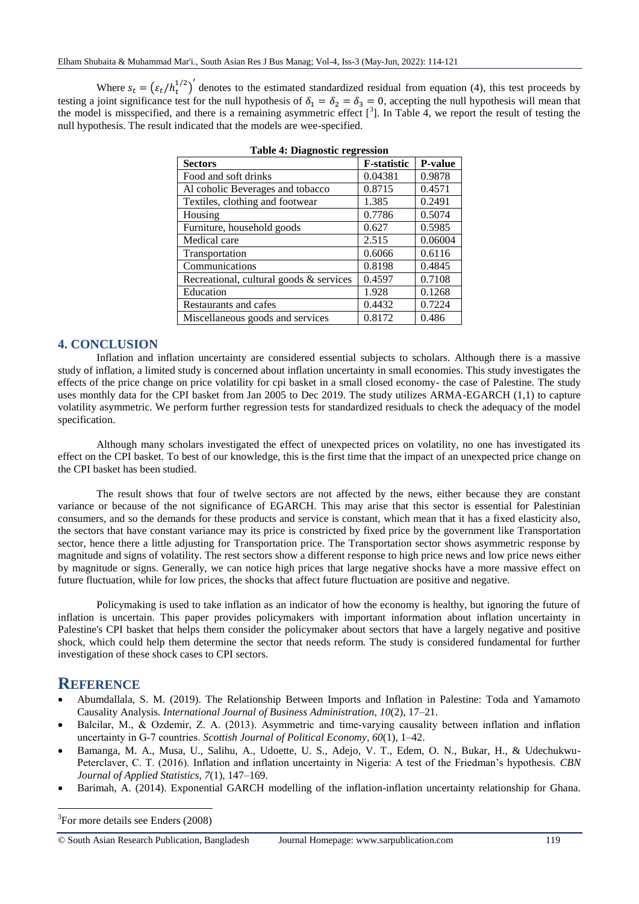Where  $s_t = (\varepsilon_t/h_t^{1/2})'$  denotes to the estimated standardized residual from equation (4), this test proceeds by testing a joint significance test for the null hypothesis of  $\delta_1 = \delta_2 = \delta_3 = 0$ , accepting the null hypothesis will mean that the model is misspecified, and there is a remaining asymmetric effect  $[^3]$ . In Table 4, we report the result of testing the null hypothesis. The result indicated that the models are wee-specified.

| <b>Sectors</b>                          | <b>F</b> -statistic | <b>P-value</b> |
|-----------------------------------------|---------------------|----------------|
| Food and soft drinks                    | 0.04381             | 0.9878         |
| Al coholic Beverages and tobacco        | 0.8715              | 0.4571         |
| Textiles, clothing and footwear         | 1.385               | 0.2491         |
| Housing                                 | 0.7786              | 0.5074         |
| Furniture, household goods              | 0.627               | 0.5985         |
| Medical care                            | 2.515               | 0.06004        |
| Transportation                          | 0.6066              | 0.6116         |
| Communications                          | 0.8198              | 0.4845         |
| Recreational, cultural goods & services | 0.4597              | 0.7108         |
| Education                               | 1.928               | 0.1268         |
| Restaurants and cafes                   | 0.4432              | 0.7224         |
| Miscellaneous goods and services        | 0.8172              | 0.486          |

|  |  |  | <b>Table 4: Diagnostic regression</b> |  |
|--|--|--|---------------------------------------|--|
|--|--|--|---------------------------------------|--|

## **4. CONCLUSION**

Inflation and inflation uncertainty are considered essential subjects to scholars. Although there is a massive study of inflation, a limited study is concerned about inflation uncertainty in small economies. This study investigates the effects of the price change on price volatility for cpi basket in a small closed economy- the case of Palestine. The study uses monthly data for the CPI basket from Jan 2005 to Dec 2019. The study utilizes ARMA-EGARCH (1,1) to capture volatility asymmetric. We perform further regression tests for standardized residuals to check the adequacy of the model specification.

Although many scholars investigated the effect of unexpected prices on volatility, no one has investigated its effect on the CPI basket. To best of our knowledge, this is the first time that the impact of an unexpected price change on the CPI basket has been studied.

The result shows that four of twelve sectors are not affected by the news, either because they are constant variance or because of the not significance of EGARCH. This may arise that this sector is essential for Palestinian consumers, and so the demands for these products and service is constant, which mean that it has a fixed elasticity also, the sectors that have constant variance may its price is constricted by fixed price by the government like Transportation sector, hence there a little adjusting for Transportation price. The Transportation sector shows asymmetric response by magnitude and signs of volatility. The rest sectors show a different response to high price news and low price news either by magnitude or signs. Generally, we can notice high prices that large negative shocks have a more massive effect on future fluctuation, while for low prices, the shocks that affect future fluctuation are positive and negative.

Policymaking is used to take inflation as an indicator of how the economy is healthy, but ignoring the future of inflation is uncertain. This paper provides policymakers with important information about inflation uncertainty in Palestine's CPI basket that helps them consider the policymaker about sectors that have a largely negative and positive shock, which could help them determine the sector that needs reform. The study is considered fundamental for further investigation of these shock cases to CPI sectors.

# **REFERENCE**

**.** 

- Abumdallala, S. M. (2019). The Relationship Between Imports and Inflation in Palestine: Toda and Yamamoto Causality Analysis. *International Journal of Business Administration*, *10*(2), 17–21.
- Balcilar, M., & Ozdemir, Z. A. (2013). Asymmetric and time‐varying causality between inflation and inflation uncertainty in G‐7 countries. *Scottish Journal of Political Economy*, *60*(1), 1–42.
- Bamanga, M. A., Musa, U., Salihu, A., Udoette, U. S., Adejo, V. T., Edem, O. N., Bukar, H., & Udechukwu-Peterclaver, C. T. (2016). Inflation and inflation uncertainty in Nigeria: A test of the Friedman"s hypothesis. *CBN Journal of Applied Statistics*, *7*(1), 147–169.
- Barimah, A. (2014). Exponential GARCH modelling of the inflation-inflation uncertainty relationship for Ghana.

<sup>3</sup>For more details see Enders (2008)

© South Asian Research Publication, Bangladesh Journal Homepage: www.sarpublication.com 119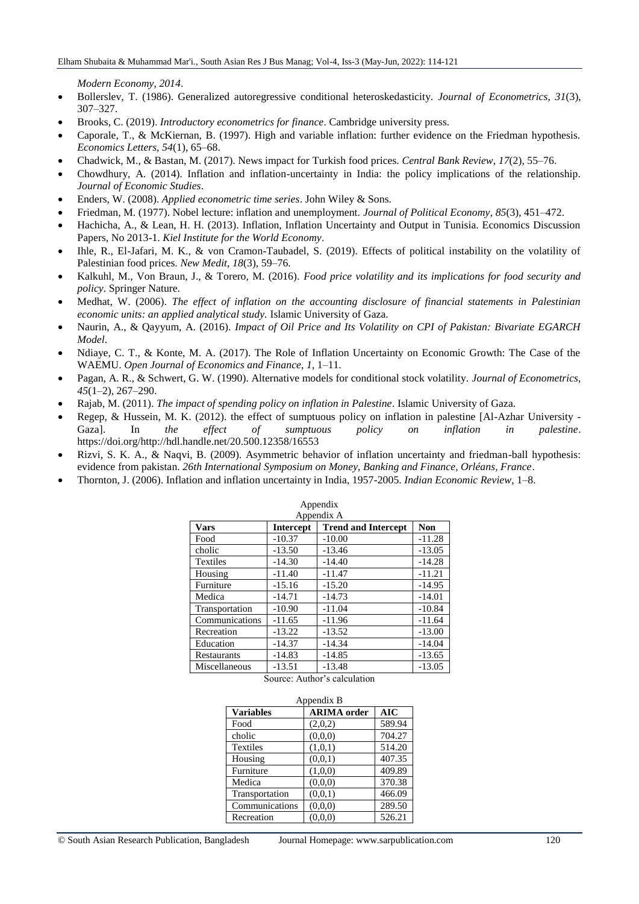*Modern Economy*, *2014*.

- Bollerslev, T. (1986). Generalized autoregressive conditional heteroskedasticity. *Journal of Econometrics*, *31*(3), 307–327.
- Brooks, C. (2019). *Introductory econometrics for finance*. Cambridge university press.
- Caporale, T., & McKiernan, B. (1997). High and variable inflation: further evidence on the Friedman hypothesis. *Economics Letters*, *54*(1), 65–68.
- Chadwick, M., & Bastan, M. (2017). News impact for Turkish food prices. *Central Bank Review*, *17*(2), 55–76.
- Chowdhury, A. (2014). Inflation and inflation-uncertainty in India: the policy implications of the relationship. *Journal of Economic Studies*.
- Enders, W. (2008). *Applied econometric time series*. John Wiley & Sons.
- Friedman, M. (1977). Nobel lecture: inflation and unemployment. *Journal of Political Economy*, *85*(3), 451–472.
- Hachicha, A., & Lean, H. H. (2013). Inflation, Inflation Uncertainty and Output in Tunisia. Economics Discussion Papers, No 2013-1. *Kiel Institute for the World Economy*.
- Ihle, R., El-Jafari, M. K., & von Cramon-Taubadel, S. (2019). Effects of political instability on the volatility of Palestinian food prices. *New Medit*, *18*(3), 59–76.
- Kalkuhl, M., Von Braun, J., & Torero, M. (2016). *Food price volatility and its implications for food security and policy*. Springer Nature.
- Medhat, W. (2006). *The effect of inflation on the accounting disclosure of financial statements in Palestinian economic units: an applied analytical study.* Islamic University of Gaza.
- Naurin, A., & Qayyum, A. (2016). *Impact of Oil Price and Its Volatility on CPI of Pakistan: Bivariate EGARCH Model*.
- Ndiaye, C. T., & Konte, M. A. (2017). The Role of Inflation Uncertainty on Economic Growth: The Case of the WAEMU. *Open Journal of Economics and Finance*, *1*, 1–11.
- Pagan, A. R., & Schwert, G. W. (1990). Alternative models for conditional stock volatility. *Journal of Econometrics*, *45*(1–2), 267–290.
- Rajab, M. (2011). *The impact of spending policy on inflation in Palestine*. Islamic University of Gaza.
- Regep, & Hussein, M. K. (2012). the effect of sumptuous policy on inflation in palestine [Al-Azhar University Gaza]. In *the effect of sumptuous policy on inflation in palestine*. https://doi.org/http://hdl.handle.net/20.500.12358/16553
- Rizvi, S. K. A., & Naqvi, B. (2009). Asymmetric behavior of inflation uncertainty and friedman-ball hypothesis: evidence from pakistan. *26th International Symposium on Money, Banking and Finance, Orléans, France*.
- Thornton, J. (2006). Inflation and inflation uncertainty in India, 1957-2005. *Indian Economic Review*, 1–8.

| Appendix        |                  |                            |            |  |
|-----------------|------------------|----------------------------|------------|--|
|                 |                  | Appendix A                 |            |  |
| <b>Vars</b>     | <b>Intercept</b> | <b>Trend and Intercept</b> | <b>Non</b> |  |
| Food            | $-10.37$         | $-10.00$                   | $-11.28$   |  |
| cholic          | $-13.50$         | $-13.46$                   | $-13.05$   |  |
| <b>Textiles</b> | $-14.30$         | $-14.40$                   | $-14.28$   |  |
| Housing         | $-11.40$         | $-11.47$                   | $-11.21$   |  |
| Furniture       | $-15.16$         | $-15.20$                   | $-14.95$   |  |
| Medica          | $-14.71$         | $-14.73$                   | $-14.01$   |  |
| Transportation  | $-10.90$         | $-11.04$                   | $-10.84$   |  |
| Communications  | $-11.65$         | $-11.96$                   | $-11.64$   |  |
| Recreation      | $-13.22$         | $-13.52$                   | $-13.00$   |  |
| Education       | $-14.37$         | $-14.34$                   | $-14.04$   |  |
| Restaurants     | $-14.83$         | $-14.85$                   | $-13.65$   |  |
| Miscellaneous   | $-13.51$         | $-13.48$                   | $-13.05$   |  |

Source: Author"s calculation

|                  | Appendix B         |        |
|------------------|--------------------|--------|
| <b>Variables</b> | <b>ARIMA</b> order | AIC    |
| Food             | (2,0,2)            | 589.94 |
| cholic           | (0,0,0)            | 704.27 |
| <b>Textiles</b>  | (1,0,1)            | 514.20 |
| Housing          | (0,0,1)            | 407.35 |
| Furniture        | (1,0,0)            | 409.89 |
| Medica           | (0.0, 0)           | 370.38 |
| Transportation   | (0,0,1)            | 466.09 |
| Communications   | (0,0,0)            | 289.50 |
| Recreation       | (0.0, 0)           | 526.21 |